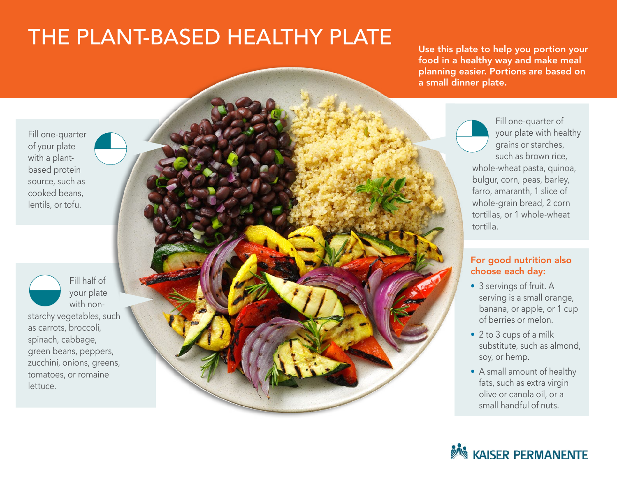## THE PLANT-BASED HEALTHY PLATE

Use this plate to help you portion your food in a healthy way and make meal planning easier. Portions are based on a small dinner plate.

Fill one-quarter of your plate with a plantbased protein source, such as cooked beans, lentils, or tofu.

Fill half of your plate with nonstarchy vegetables, such as carrots, broccoli, spinach, cabbage, green beans, peppers, zucchini, onions, greens, tomatoes, or romaine lettuce.



Fill one-quarter of your plate with healthy grains or starches, such as brown rice, whole-wheat pasta, quinoa, bulgur, corn, peas, barley, farro, amaranth, 1 slice of whole-grain bread, 2 corn tortillas, or 1 whole-wheat tortilla.

## For good nutrition also choose each day:

- 3 servings of fruit. A serving is a small orange, banana, or apple, or 1 cup of berries or melon.
- 2 to 3 cups of a milk substitute, such as almond, soy, or hemp.
- A small amount of healthy fats, such as extra virgin olive or canola oil, or a small handful of nuts.